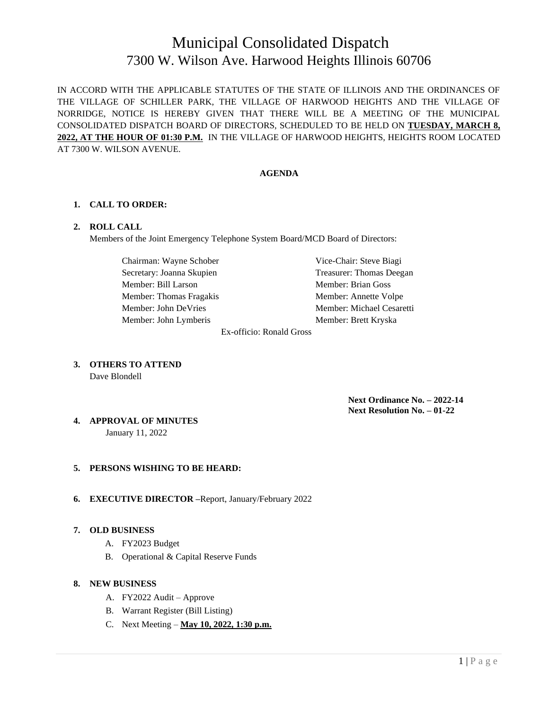# Municipal Consolidated Dispatch 7300 W. Wilson Ave. Harwood Heights Illinois 60706

IN ACCORD WITH THE APPLICABLE STATUTES OF THE STATE OF ILLINOIS AND THE ORDINANCES OF THE VILLAGE OF SCHILLER PARK, THE VILLAGE OF HARWOOD HEIGHTS AND THE VILLAGE OF NORRIDGE, NOTICE IS HEREBY GIVEN THAT THERE WILL BE A MEETING OF THE MUNICIPAL CONSOLIDATED DISPATCH BOARD OF DIRECTORS, SCHEDULED TO BE HELD ON **TUESDAY, MARCH 8, 2022, AT THE HOUR OF 01:30 P.M.** IN THE VILLAGE OF HARWOOD HEIGHTS, HEIGHTS ROOM LOCATED AT 7300 W. WILSON AVENUE.

#### **AGENDA**

## **1. CALL TO ORDER:**

#### **2. ROLL CALL**

Members of the Joint Emergency Telephone System Board/MCD Board of Directors:

Chairman: Wayne Schober Vice-Chair: Steve Biagi Secretary: Joanna Skupien Treasurer: Thomas Deegan Member: Bill Larson Member: Brian Goss Member: Thomas Fragakis Member: Annette Volpe Member: John DeVries Member: Michael Cesaretti Member: John Lymberis Member: Brett Kryska

Ex-officio: Ronald Gross

**3. OTHERS TO ATTEND** Dave Blondell

> **Next Ordinance No. – 2022-14 Next Resolution No. – 01-22**

**4. APPROVAL OF MINUTES**

January 11, 2022

## **5. PERSONS WISHING TO BE HEARD:**

**6. EXECUTIVE DIRECTOR –**Report, January/February 2022

#### **7. OLD BUSINESS**

- A. FY2023 Budget
- B. Operational & Capital Reserve Funds

#### **8. NEW BUSINESS**

- A. FY2022 Audit Approve
- B. Warrant Register (Bill Listing)
- C. Next Meeting **May 10, 2022, 1:30 p.m.**